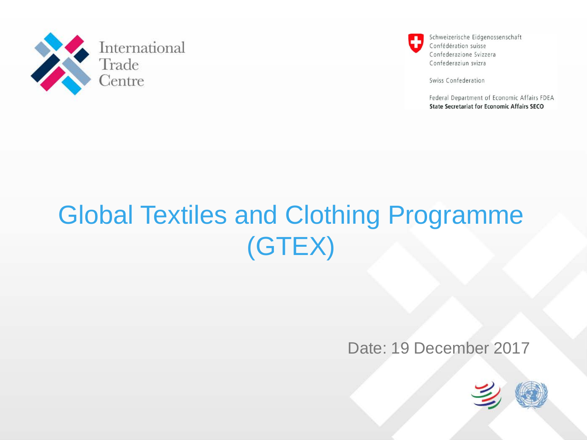



Swiss Confederation

Federal Department of Economic Affairs FDEA **State Secretariat for Economic Affairs SECO** 

# Global Textiles and Clothing Programme (GTEX)

#### Date: 19 December 2017

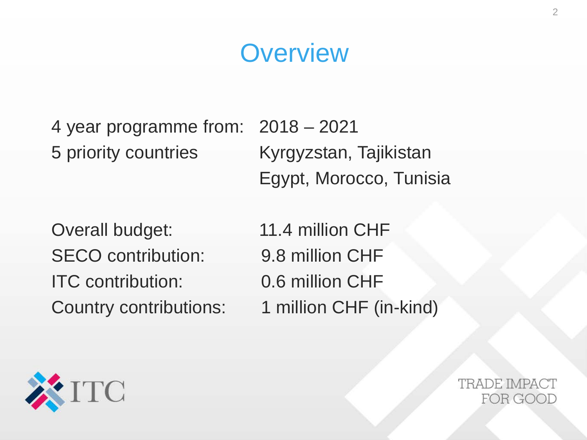## **Overview**

4 year programme from: 2018 – 2021 5 priority countries Kyrgyzstan, Tajikistan Egypt, Morocco, Tunisia

Overall budget: 11.4 million CHF SECO contribution: 9.8 million CHF ITC contribution: 0.6 million CHF

Country contributions: 1 million CHF (in-kind)

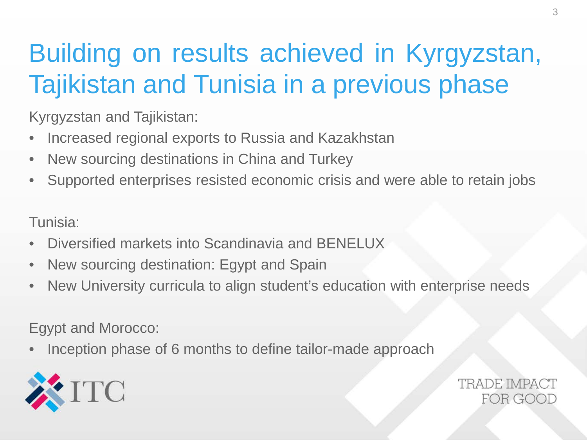# Building on results achieved in Kyrgyzstan, Tajikistan and Tunisia in a previous phase

Kyrgyzstan and Tajikistan:

- Increased regional exports to Russia and Kazakhstan
- New sourcing destinations in China and Turkey
- Supported enterprises resisted economic crisis and were able to retain jobs

Tunisia:

- Diversified markets into Scandinavia and BENELUX
- New sourcing destination: Egypt and Spain
- New University curricula to align student's education with enterprise needs

Egypt and Morocco:

• Inception phase of 6 months to define tailor-made approach

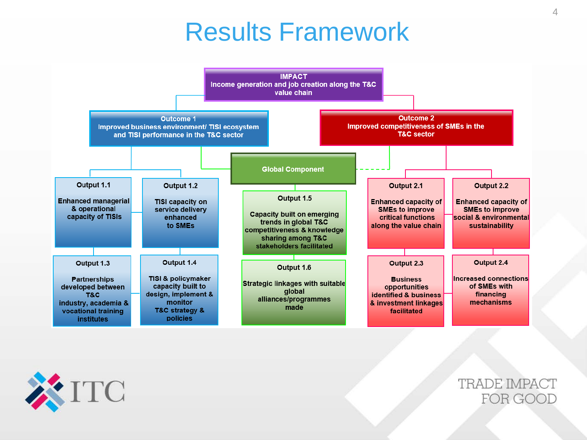#### Results Framework



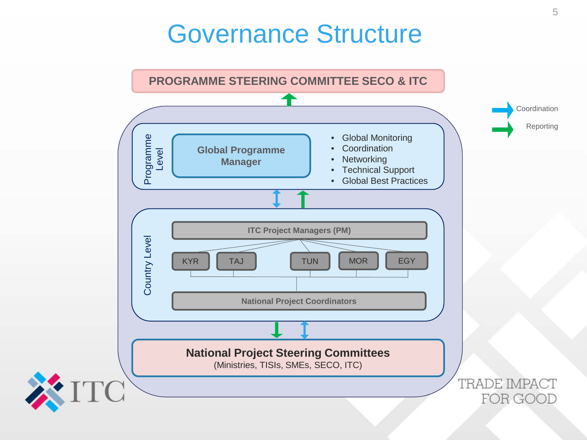### Governance Structure